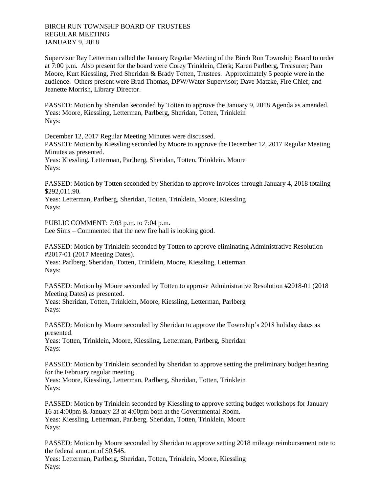Supervisor Ray Letterman called the January Regular Meeting of the Birch Run Township Board to order at 7:00 p.m. Also present for the board were Corey Trinklein, Clerk; Karen Parlberg, Treasurer; Pam Moore, Kurt Kiessling, Fred Sheridan & Brady Totten, Trustees. Approximately 5 people were in the audience. Others present were Brad Thomas, DPW/Water Supervisor; Dave Matzke, Fire Chief; and Jeanette Morrish, Library Director.

PASSED: Motion by Sheridan seconded by Totten to approve the January 9, 2018 Agenda as amended. Yeas: Moore, Kiessling, Letterman, Parlberg, Sheridan, Totten, Trinklein Nays:

December 12, 2017 Regular Meeting Minutes were discussed. PASSED: Motion by Kiessling seconded by Moore to approve the December 12, 2017 Regular Meeting Minutes as presented. Yeas: Kiessling, Letterman, Parlberg, Sheridan, Totten, Trinklein, Moore Nays:

PASSED: Motion by Totten seconded by Sheridan to approve Invoices through January 4, 2018 totaling \$292,011.90.

Yeas: Letterman, Parlberg, Sheridan, Totten, Trinklein, Moore, Kiessling Nays:

PUBLIC COMMENT: 7:03 p.m. to 7:04 p.m. Lee Sims – Commented that the new fire hall is looking good.

PASSED: Motion by Trinklein seconded by Totten to approve eliminating Administrative Resolution #2017-01 (2017 Meeting Dates).

Yeas: Parlberg, Sheridan, Totten, Trinklein, Moore, Kiessling, Letterman Nays:

PASSED: Motion by Moore seconded by Totten to approve Administrative Resolution #2018-01 (2018 Meeting Dates) as presented.

Yeas: Sheridan, Totten, Trinklein, Moore, Kiessling, Letterman, Parlberg Nays:

PASSED: Motion by Moore seconded by Sheridan to approve the Township's 2018 holiday dates as presented.

Yeas: Totten, Trinklein, Moore, Kiessling, Letterman, Parlberg, Sheridan Nays:

PASSED: Motion by Trinklein seconded by Sheridan to approve setting the preliminary budget hearing for the February regular meeting.

Yeas: Moore, Kiessling, Letterman, Parlberg, Sheridan, Totten, Trinklein Nays:

PASSED: Motion by Trinklein seconded by Kiessling to approve setting budget workshops for January 16 at 4:00pm & January 23 at 4:00pm both at the Governmental Room. Yeas: Kiessling, Letterman, Parlberg, Sheridan, Totten, Trinklein, Moore Nays:

PASSED: Motion by Moore seconded by Sheridan to approve setting 2018 mileage reimbursement rate to the federal amount of \$0.545.

Yeas: Letterman, Parlberg, Sheridan, Totten, Trinklein, Moore, Kiessling Nays: